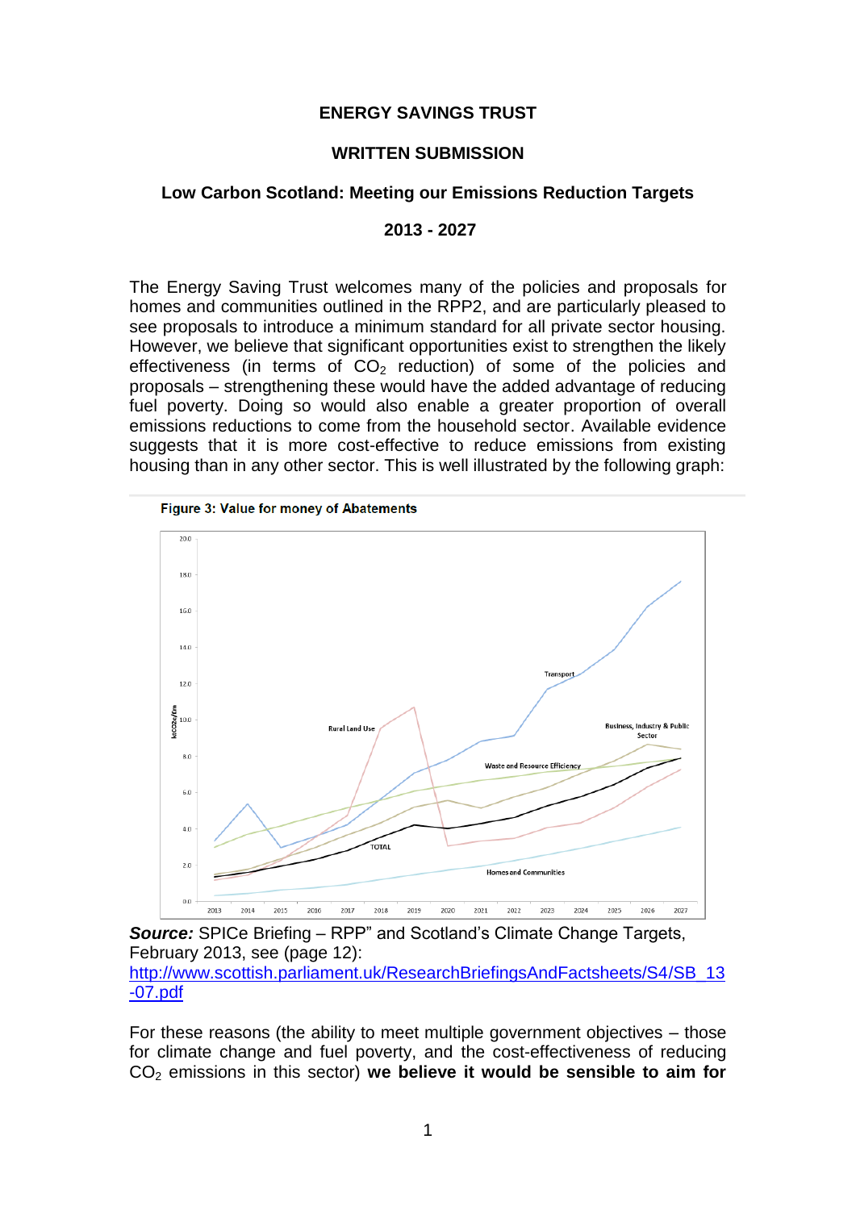### **ENERGY SAVINGS TRUST**

#### **WRITTEN SUBMISSION**

### **Low Carbon Scotland: Meeting our Emissions Reduction Targets**

### **2013 - 2027**

The Energy Saving Trust welcomes many of the policies and proposals for homes and communities outlined in the RPP2, and are particularly pleased to see proposals to introduce a minimum standard for all private sector housing. However, we believe that significant opportunities exist to strengthen the likely effectiveness (in terms of  $CO<sub>2</sub>$  reduction) of some of the policies and proposals – strengthening these would have the added advantage of reducing fuel poverty. Doing so would also enable a greater proportion of overall emissions reductions to come from the household sector. Available evidence suggests that it is more cost-effective to reduce emissions from existing housing than in any other sector. This is well illustrated by the following graph:



*Source:* SPICe Briefing – RPP" and Scotland's Climate Change Targets, February 2013, see (page 12): [http://www.scottish.parliament.uk/ResearchBriefingsAndFactsheets/S4/SB\\_13](http://www.scottish.parliament.uk/ResearchBriefingsAndFactsheets/S4/SB_13-07.pdf) [-07.pdf](http://www.scottish.parliament.uk/ResearchBriefingsAndFactsheets/S4/SB_13-07.pdf)

For these reasons (the ability to meet multiple government objectives – those for climate change and fuel poverty, and the cost-effectiveness of reducing CO<sup>2</sup> emissions in this sector) **we believe it would be sensible to aim for**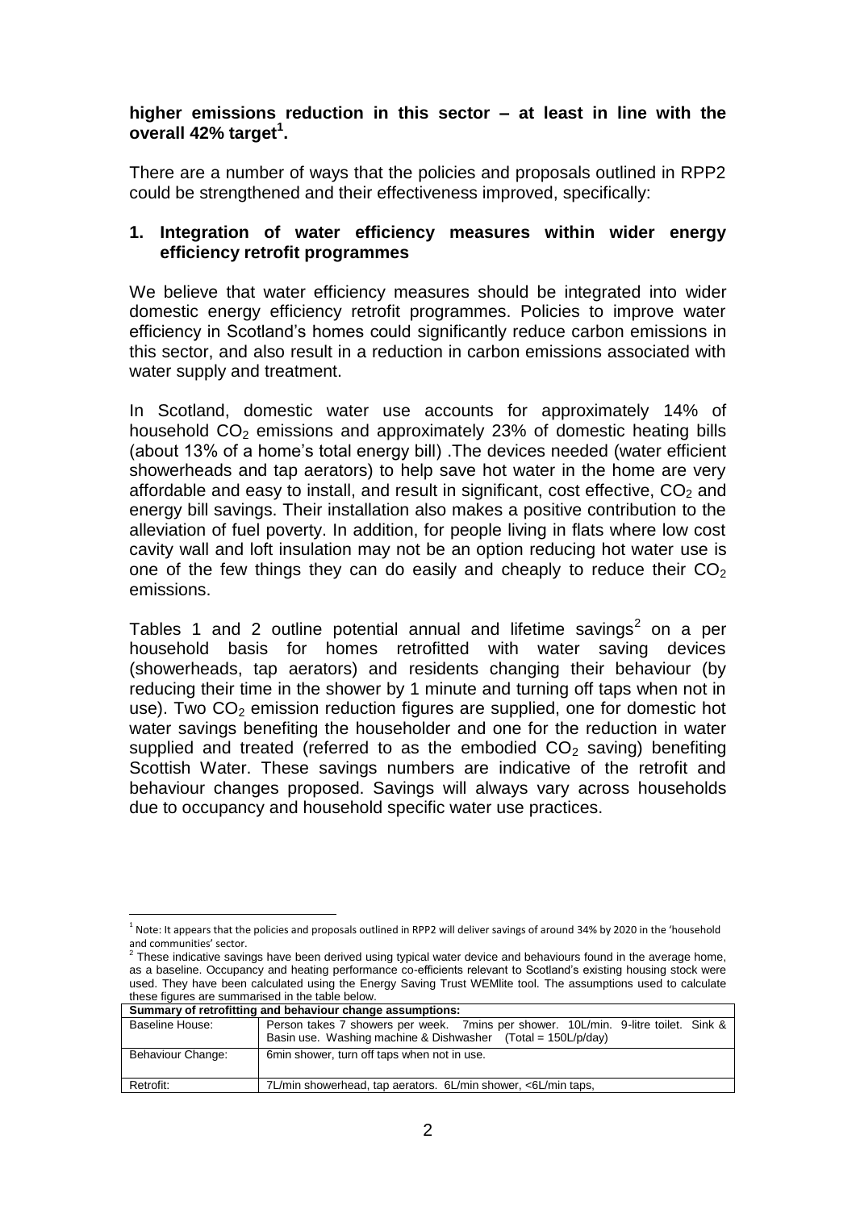### **higher emissions reduction in this sector – at least in line with the overall 42% target<sup>1</sup> .**

There are a number of ways that the policies and proposals outlined in RPP2 could be strengthened and their effectiveness improved, specifically:

## **1. Integration of water efficiency measures within wider energy efficiency retrofit programmes**

We believe that water efficiency measures should be integrated into wider domestic energy efficiency retrofit programmes. Policies to improve water efficiency in Scotland's homes could significantly reduce carbon emissions in this sector, and also result in a reduction in carbon emissions associated with water supply and treatment.

In Scotland, domestic water use accounts for approximately 14% of household  $CO<sub>2</sub>$  emissions and approximately 23% of domestic heating bills (about 13% of a home's total energy bill) .The devices needed (water efficient showerheads and tap aerators) to help save hot water in the home are very affordable and easy to install, and result in significant, cost effective,  $CO<sub>2</sub>$  and energy bill savings. Their installation also makes a positive contribution to the alleviation of fuel poverty. In addition, for people living in flats where low cost cavity wall and loft insulation may not be an option reducing hot water use is one of the few things they can do easily and cheaply to reduce their  $CO<sub>2</sub>$ emissions.

Tables 1 and 2 outline potential annual and lifetime savings<sup>2</sup> on a per household basis for homes retrofitted with water saving devices (showerheads, tap aerators) and residents changing their behaviour (by reducing their time in the shower by 1 minute and turning off taps when not in use). Two  $CO<sub>2</sub>$  emission reduction figures are supplied, one for domestic hot water savings benefiting the householder and one for the reduction in water supplied and treated (referred to as the embodied  $CO<sub>2</sub>$  saving) benefiting Scottish Water. These savings numbers are indicative of the retrofit and behaviour changes proposed. Savings will always vary across households due to occupancy and household specific water use practices.

and communities' sector.<br><sup>2</sup> These indicative savings have been derived using typical water device and behaviours found in the average home, as a baseline. Occupancy and heating performance co-efficients relevant to Scotland's existing housing stock were used. They have been calculated using the Energy Saving Trust WEMlite tool. The assumptions used to calculate these figures are summarised in the table below.

| Summary of retrofitting and behaviour change assumptions: |                                                                                     |  |  |  |  |  |  |  |
|-----------------------------------------------------------|-------------------------------------------------------------------------------------|--|--|--|--|--|--|--|
| Baseline House:                                           | Person takes 7 showers per week. 7 mins per shower. 10L/min. 9-litre toilet. Sink & |  |  |  |  |  |  |  |
|                                                           | Basin use. Washing machine & Dishwasher (Total = 150L/p/day)                        |  |  |  |  |  |  |  |
| Behaviour Change:                                         | 6 min shower, turn off taps when not in use.                                        |  |  |  |  |  |  |  |
|                                                           |                                                                                     |  |  |  |  |  |  |  |
| Retrofit:                                                 | 7L/min showerhead, tap aerators. 6L/min shower, <6L/min taps,                       |  |  |  |  |  |  |  |

 $\overline{a}$ <sup>1</sup> Note: It appears that the policies and proposals outlined in RPP2 will deliver savings of around 34% by 2020 in the 'household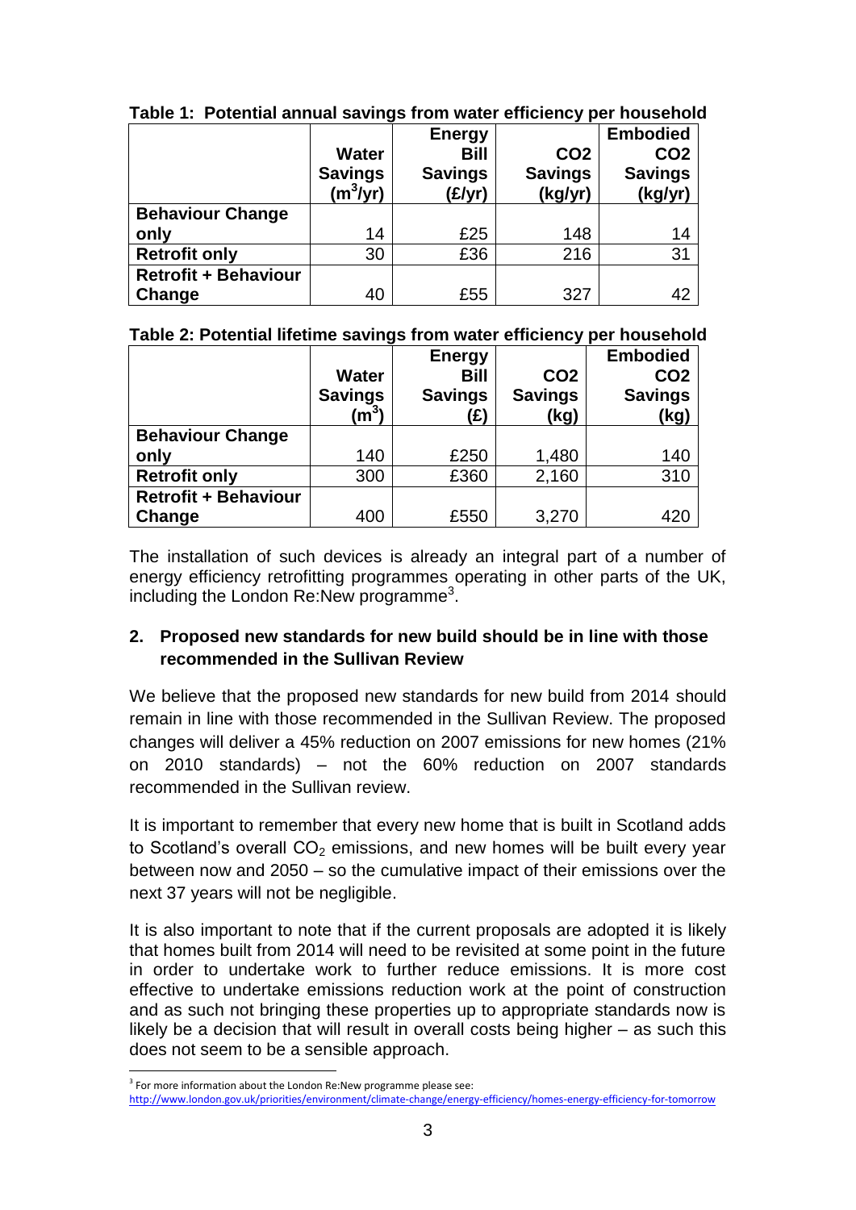|                             | <b>Water</b><br><b>Savings</b><br>$(m^3/\bar{yr})$ | <b>Energy</b><br><b>Bill</b><br><b>Savings</b><br>(E/yr) | CO <sub>2</sub><br><b>Savings</b><br>(kg/yr) | <b>Embodied</b><br>CO <sub>2</sub><br><b>Savings</b><br>(kg/yr) |
|-----------------------------|----------------------------------------------------|----------------------------------------------------------|----------------------------------------------|-----------------------------------------------------------------|
| <b>Behaviour Change</b>     |                                                    |                                                          |                                              |                                                                 |
| only                        | 14                                                 | £25                                                      | 148                                          | 14                                                              |
| <b>Retrofit only</b>        | 30                                                 | £36                                                      | 216                                          | 31                                                              |
| <b>Retrofit + Behaviour</b> |                                                    |                                                          |                                              |                                                                 |
| Change                      | 40                                                 | £55                                                      | 327                                          | 42                                                              |

**Table 1: Potential annual savings from water efficiency per household**

**Table 2: Potential lifetime savings from water efficiency per household**

|                             |                | <b>Energy</b>  |                 | <b>Embodied</b> |
|-----------------------------|----------------|----------------|-----------------|-----------------|
|                             | <b>Water</b>   | Bill           | CO <sub>2</sub> | CO <sub>2</sub> |
|                             | <b>Savings</b> | <b>Savings</b> | <b>Savings</b>  | <b>Savings</b>  |
|                             | $\rm (m^3)$    | (£)            | (kg)            | (kg)            |
| <b>Behaviour Change</b>     |                |                |                 |                 |
| only                        | 140            | £250           | 1,480           | 140             |
| <b>Retrofit only</b>        | 300            | £360           | 2,160           | 310             |
| <b>Retrofit + Behaviour</b> |                |                |                 |                 |
| Change                      | 400            | £550           | 3,270           | 420             |

The installation of such devices is already an integral part of a number of energy efficiency retrofitting programmes operating in other parts of the UK, including the London Re:New programme<sup>3</sup>.

# **2. Proposed new standards for new build should be in line with those recommended in the Sullivan Review**

We believe that the proposed new standards for new build from 2014 should remain in line with those recommended in the Sullivan Review. The proposed changes will deliver a 45% reduction on 2007 emissions for new homes (21% on 2010 standards) – not the 60% reduction on 2007 standards recommended in the Sullivan review.

It is important to remember that every new home that is built in Scotland adds to Scotland's overall  $CO<sub>2</sub>$  emissions, and new homes will be built every year between now and 2050 – so the cumulative impact of their emissions over the next 37 years will not be negligible.

It is also important to note that if the current proposals are adopted it is likely that homes built from 2014 will need to be revisited at some point in the future in order to undertake work to further reduce emissions. It is more cost effective to undertake emissions reduction work at the point of construction and as such not bringing these properties up to appropriate standards now is likely be a decision that will result in overall costs being higher – as such this does not seem to be a sensible approach.

<sup>1</sup> <sup>3</sup> For more information about the London Re:New programme please see:

<http://www.london.gov.uk/priorities/environment/climate-change/energy-efficiency/homes-energy-efficiency-for-tomorrow>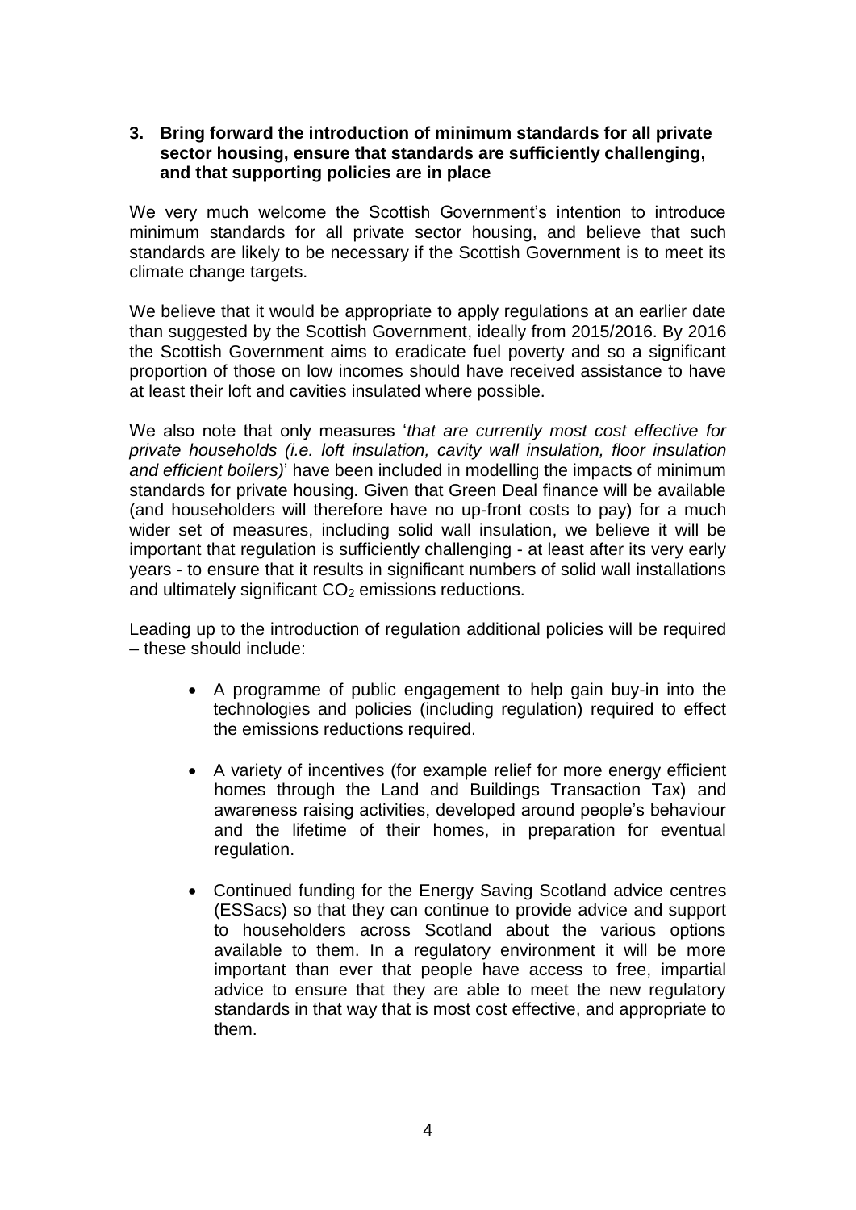## **3. Bring forward the introduction of minimum standards for all private sector housing, ensure that standards are sufficiently challenging, and that supporting policies are in place**

We very much welcome the Scottish Government's intention to introduce minimum standards for all private sector housing, and believe that such standards are likely to be necessary if the Scottish Government is to meet its climate change targets.

We believe that it would be appropriate to apply regulations at an earlier date than suggested by the Scottish Government, ideally from 2015/2016. By 2016 the Scottish Government aims to eradicate fuel poverty and so a significant proportion of those on low incomes should have received assistance to have at least their loft and cavities insulated where possible.

We also note that only measures '*that are currently most cost effective for private households (i.e. loft insulation, cavity wall insulation, floor insulation and efficient boilers)*' have been included in modelling the impacts of minimum standards for private housing. Given that Green Deal finance will be available (and householders will therefore have no up-front costs to pay) for a much wider set of measures, including solid wall insulation, we believe it will be important that regulation is sufficiently challenging - at least after its very early years - to ensure that it results in significant numbers of solid wall installations and ultimately significant  $CO<sub>2</sub>$  emissions reductions.

Leading up to the introduction of regulation additional policies will be required – these should include:

- A programme of public engagement to help gain buy-in into the technologies and policies (including regulation) required to effect the emissions reductions required.
- A variety of incentives (for example relief for more energy efficient homes through the Land and Buildings Transaction Tax) and awareness raising activities, developed around people's behaviour and the lifetime of their homes, in preparation for eventual regulation.
- Continued funding for the Energy Saving Scotland advice centres (ESSacs) so that they can continue to provide advice and support to householders across Scotland about the various options available to them. In a regulatory environment it will be more important than ever that people have access to free, impartial advice to ensure that they are able to meet the new regulatory standards in that way that is most cost effective, and appropriate to them.